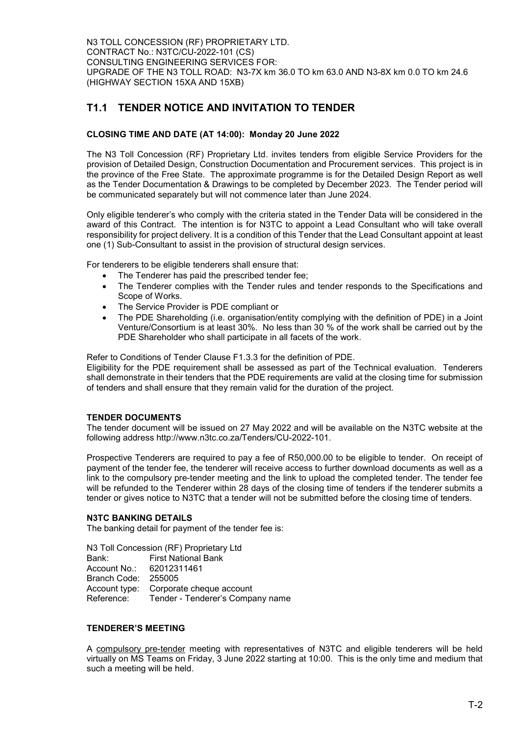N3 TOLL CONCESSION (RF) PROPRIETARY LTD. CONTRACT No.: N3TC/CU-2022-101 (CS) CONSULTING ENGINEERING SERVICES FOR: UPGRADE OF THE N3 TOLL ROAD: N3-7X km 36.0 TO km 63.0 AND N3-8X km 0.0 TO km 24.6 (HIGHWAY SECTION 15XA AND 15XB)

# T1.1 TENDER NOTICE AND INVITATION TO TENDER

### CLOSING TIME AND DATE (AT 14:00): Monday 20 June 2022

The N3 Toll Concession (RF) Proprietary Ltd. invites tenders from eligible Service Providers for the provision of Detailed Design, Construction Documentation and Procurement services. This project is in the province of the Free State. The approximate programme is for the Detailed Design Report as well as the Tender Documentation & Drawings to be completed by December 2023. The Tender period will be communicated separately but will not commence later than June 2024.

Only eligible tenderer's who comply with the criteria stated in the Tender Data will be considered in the award of this Contract. The intention is for N3TC to appoint a Lead Consultant who will take overall responsibility for project delivery. It is a condition of this Tender that the Lead Consultant appoint at least one (1) Sub-Consultant to assist in the provision of structural design services.

For tenderers to be eligible tenderers shall ensure that:

- The Tenderer has paid the prescribed tender fee;
- The Tenderer complies with the Tender rules and tender responds to the Specifications and Scope of Works.
- The Service Provider is PDE compliant or
- The PDE Shareholding (i.e. organisation/entity complying with the definition of PDE) in a Joint Venture/Consortium is at least 30%. No less than 30 % of the work shall be carried out by the PDE Shareholder who shall participate in all facets of the work.

Refer to Conditions of Tender Clause F1.3.3 for the definition of PDE.

Eligibility for the PDE requirement shall be assessed as part of the Technical evaluation. Tenderers shall demonstrate in their tenders that the PDE requirements are valid at the closing time for submission of tenders and shall ensure that they remain valid for the duration of the project.

#### TENDER DOCUMENTS

The tender document will be issued on 27 May 2022 and will be available on the N3TC website at the following address http://www.n3tc.co.za/Tenders/CU-2022-101.

Prospective Tenderers are required to pay a fee of R50,000.00 to be eligible to tender. On receipt of payment of the tender fee, the tenderer will receive access to further download documents as well as a link to the compulsory pre-tender meeting and the link to upload the completed tender. The tender fee will be refunded to the Tenderer within 28 days of the closing time of tenders if the tenderer submits a tender or gives notice to N3TC that a tender will not be submitted before the closing time of tenders.

#### N3TC BANKING DETAILS

The banking detail for payment of the tender fee is:

N3 Toll Concession (RF) Proprietary Ltd Bank: First National Bank<br>Account No.: 62012311461 Account No.: Branch Code: 255005 Account type: Corporate cheque account Reference: Tender - Tenderer's Company name

#### TENDERER'S MEETING

A compulsory pre-tender meeting with representatives of N3TC and eligible tenderers will be held virtually on MS Teams on Friday, 3 June 2022 starting at 10:00. This is the only time and medium that such a meeting will be held.